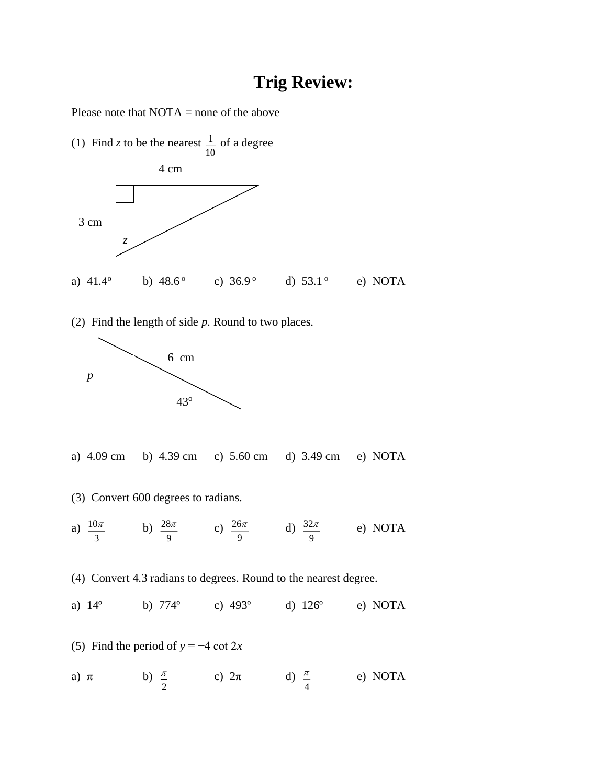## **Trig Review:**

Please note that NOTA = none of the above



(2) Find the length of side *p*. Round to two places.



- a) 4.09 cm b) 4.39 cm c) 5.60 cm d) 3.49 cm e) NOTA
- (3) Convert 600 degrees to radians.
- a)  $\frac{10}{3}$ 10 $\pi$ b) 9  $\frac{28\pi}{c}$  c) 9  $rac{26\pi}{9}$  d)  $rac{32\pi}{9}$  $32\pi$ e) NOTA

(4) Convert 4.3 radians to degrees. Round to the nearest degree.

a) 14º b) 774º c) 493º d) 126º e) NOTA

(5) Find the period of 
$$
y = -4 \cot 2x
$$

a) 
$$
\pi
$$
 b)  $\frac{\pi}{2}$  c)  $2\pi$  d)  $\frac{\pi}{4}$  e) NOTA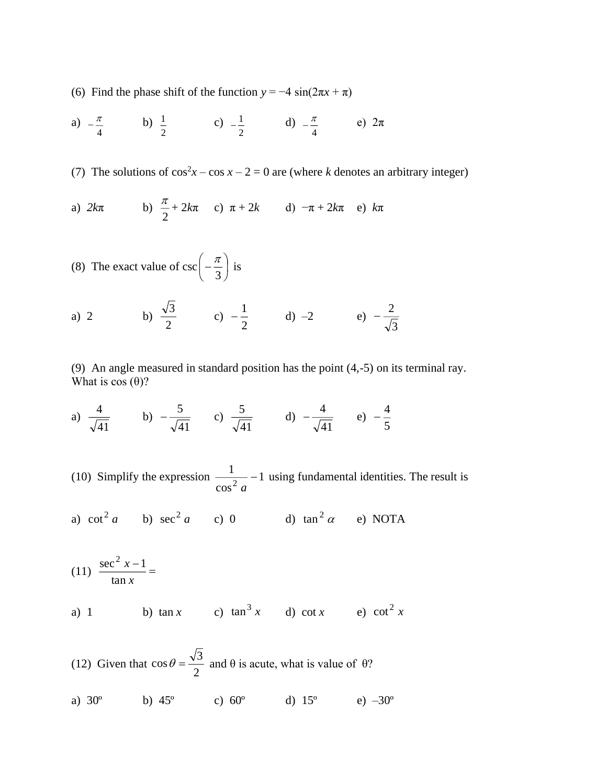(6) Find the phase shift of the function  $y = -4 \sin(2\pi x + \pi)$ 

a) 
$$
-\frac{\pi}{4}
$$
 b)  $\frac{1}{2}$  c)  $-\frac{1}{2}$  d)  $-\frac{\pi}{4}$  e)  $2\pi$ 

(7) The solutions of  $\cos^2 x - \cos x - 2 = 0$  are (where *k* denotes an arbitrary integer)

a) 
$$
2k\pi
$$
 b)  $\frac{\pi}{2} + 2k\pi$  c)  $\pi + 2k$  d)  $-\pi + 2k\pi$  e)  $k\pi$ 

(8) The exact value of 
$$
csc\left(-\frac{\pi}{3}\right)
$$
 is

a) 2 b) 
$$
\frac{\sqrt{3}}{2}
$$
 c)  $-\frac{1}{2}$  d) -2 e)  $-\frac{2}{\sqrt{3}}$ 

(9) An angle measured in standard position has the point (4,-5) on its terminal ray. What is  $cos(\theta)$ ?

a) 
$$
\frac{4}{\sqrt{41}}
$$
 b)  $-\frac{5}{\sqrt{41}}$  c)  $\frac{5}{\sqrt{41}}$  d)  $-\frac{4}{\sqrt{41}}$  e)  $-\frac{4}{5}$ 

(10) Simplify the expression  $\frac{1}{2}$  – 1 cos 1  $\frac{a}{2}$ <sup>-</sup> using fundamental identities. The result is

a) 
$$
\cot^2 a
$$
 b)  $\sec^2 a$  c) 0 d)  $\tan^2 \alpha$  e) NOTA

(11) 
$$
\frac{\sec^2 x - 1}{\tan x} =
$$
  
a) 1 b)  $\tan x$  c)  $\tan^3 x$  d)  $\cot x$  e)  $\cot^2 x$ 

(12) Given that 
$$
\cos \theta = \frac{\sqrt{3}}{2}
$$
 and  $\theta$  is acute, what is value of  $\theta$ ?  
\na) 30° b) 45° c) 60° d) 15° e) -30°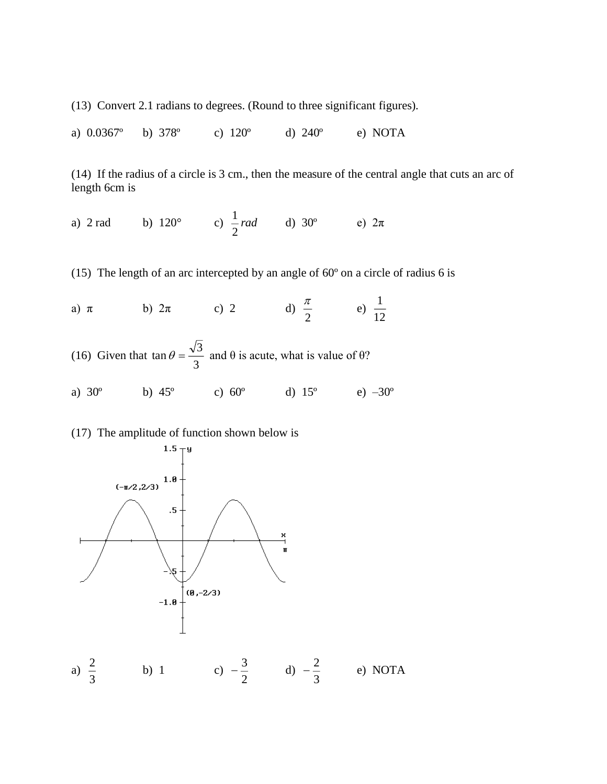(13) Convert 2.1 radians to degrees. (Round to three significant figures).

a) 0.0367º b) 378º c) 120º d) 240º e) NOTA

(14) If the radius of a circle is 3 cm., then the measure of the central angle that cuts an arc of length 6cm is

a) 2 rad b) 120<sup>o</sup> c) 
$$
\frac{1}{2} rad
$$
 d) 30<sup>o</sup> e) 2 $\pi$ 

(15) The length of an arc intercepted by an angle of 60º on a circle of radius 6 is

a) 
$$
\pi
$$
 b)  $2\pi$  c) 2 d)  $\frac{\pi}{2}$  e)  $\frac{1}{12}$ 

(16) Given that 
$$
\tan \theta = \frac{\sqrt{3}}{3}
$$
 and  $\theta$  is acute, what is value of  $\theta$ ?

a)  $30^{\circ}$  b)  $45^{\circ}$  c)  $60^{\circ}$  d)  $15^{\circ}$  e)  $-30^{\circ}$ 

## (17) The amplitude of function shown below is

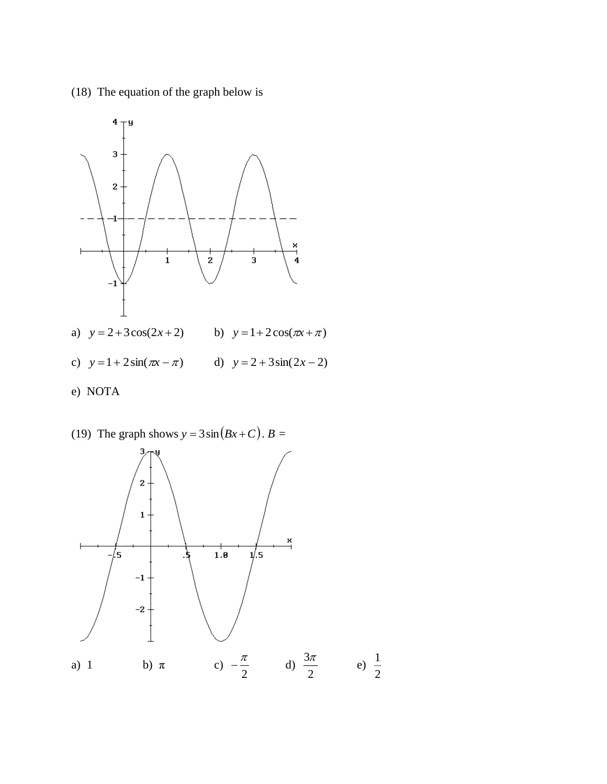(18) The equation of the graph below is



(19) The graph shows  $y = 3\sin(Bx+C)$ .  $B =$ 

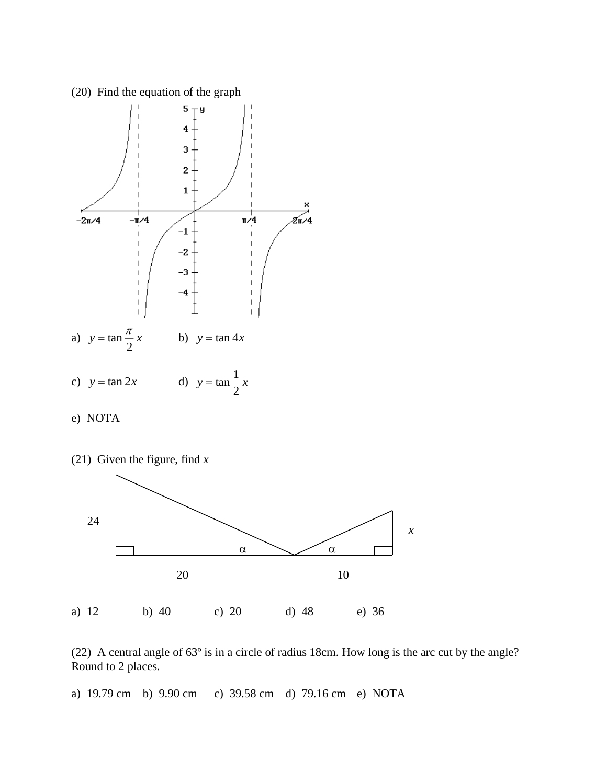





(22) A central angle of 63º is in a circle of radius 18cm. How long is the arc cut by the angle? Round to 2 places.

a) 19.79 cm b) 9.90 cm c) 39.58 cm d) 79.16 cm e) NOTA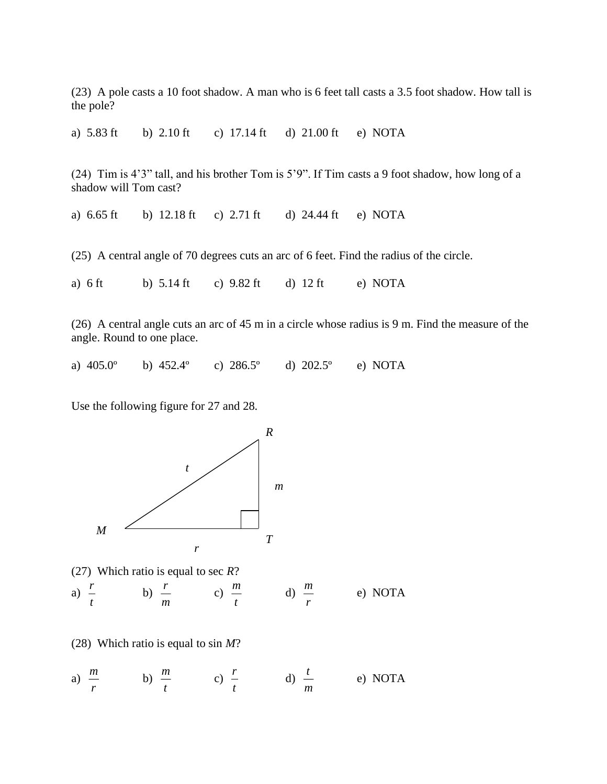(23) A pole casts a 10 foot shadow. A man who is 6 feet tall casts a 3.5 foot shadow. How tall is the pole?

a) 5.83 ft b) 2.10 ft c) 17.14 ft d) 21.00 ft e) NOTA

(24) Tim is 4'3" tall, and his brother Tom is 5'9". If Tim casts a 9 foot shadow, how long of a shadow will Tom cast?

a) 6.65 ft b) 12.18 ft c) 2.71 ft d) 24.44 ft e) NOTA

(25) A central angle of 70 degrees cuts an arc of 6 feet. Find the radius of the circle.

a) 6 ft b) 5.14 ft c) 9.82 ft d) 12 ft e) NOTA

(26) A central angle cuts an arc of 45 m in a circle whose radius is 9 m. Find the measure of the angle. Round to one place.

a) 405.0º b) 452.4º c) 286.5º d) 202.5º e) NOTA

Use the following figure for 27 and 28.



(27) Which ratio is equal to sec *R*? a)  $\frac{1}{t}$ *r* b) *m r* c) *t m* d) *m r* e) NOTA

(28) Which ratio is equal to sin *M*?

a) 
$$
\frac{m}{r}
$$
 \t\t b)  $\frac{m}{t}$  \t\t c)  $\frac{r}{t}$  \t\t d)  $\frac{t}{m}$  \t\t e) NOTA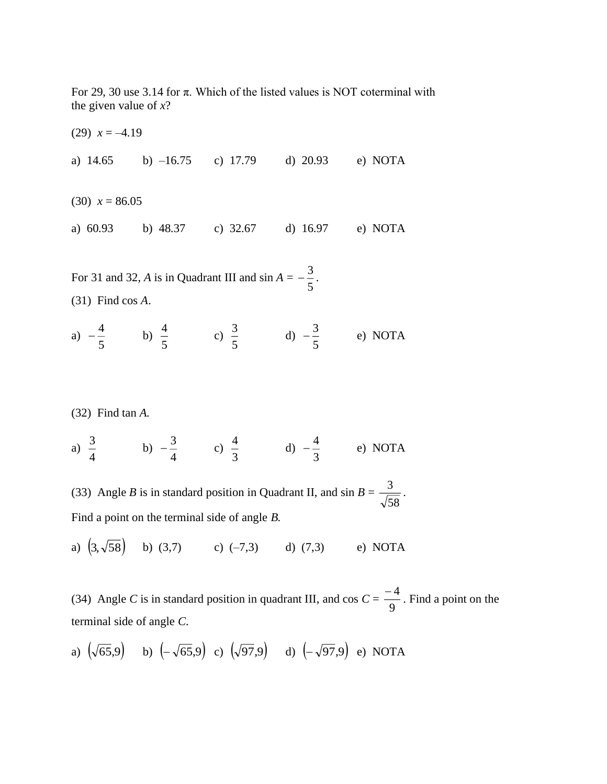For 29, 30 use 3.14 for π. Which of the listed values is NOT coterminal with the given value of *x*?

 $(29)$   $x = -4.19$ a) 14.65 b) –16.75 c) 17.79 d) 20.93 e) NOTA  $(30)$   $x = 86.05$ a) 60.93 b) 48.37 c) 32.67 d) 16.97 e) NOTA

For 31 and 32,  $\vec{A}$  is in Quadrant III and  $\sin A =$ 5  $-\frac{3}{7}$ . (31) Find cos *A*.

a)  $-\frac{1}{5}$  $-\frac{4}{5}$  b) 5  $\frac{4}{5}$  c) 5  $\frac{3}{5}$  d)  $-\frac{3}{5}$  $-\frac{3}{5}$  e) NOTA

(32) Find tan *A.*

a)  $\frac{3}{4}$  $\frac{3}{2}$  b) 4  $-\frac{3}{4}$  c)  $\frac{4}{3}$  $\frac{4}{3}$  d)  $-\frac{4}{3}$  $-\frac{4}{5}$  e) NOTA

(33) Angle *B* is in standard position in Quadrant II, and  $\sin B =$ 58  $\frac{3}{2}$ . Find a point on the terminal side of angle *B.*

a)  $(3,\sqrt{58})$  b) (3,7) c) (-7,3) d) (7,3) e) NOTA

(34) Angle *C* is in standard position in quadrant III, and cos  $C = \frac{1}{9}$  $\frac{-4}{2}$ . Find a point on the terminal side of angle *C*.

a) 
$$
(\sqrt{65}, 9)
$$
 b)  $(-\sqrt{65}, 9)$  c)  $(\sqrt{97}, 9)$  d)  $(-\sqrt{97}, 9)$  e) NOTA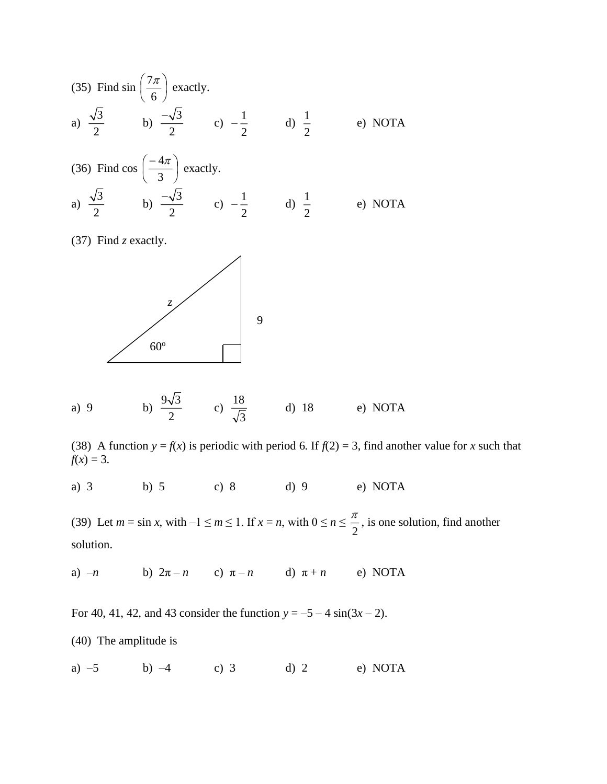(35) Find sin 
$$
\left(\frac{7\pi}{6}\right)
$$
 exactly.  
\na)  $\frac{\sqrt{3}}{2}$  b)  $\frac{-\sqrt{3}}{2}$  c)  $-\frac{1}{2}$  d)  $\frac{1}{2}$  e) NOTA

(36) Find 
$$
\cos\left(\frac{-4\pi}{3}\right)
$$
 exactly.  
\na)  $\frac{\sqrt{3}}{2}$  b)  $\frac{-\sqrt{3}}{2}$  c)  $-\frac{1}{2}$  d)  $\frac{1}{2}$  e) NOTA

(37) Find *z* exactly.



a) 9 b) 
$$
\frac{9\sqrt{3}}{2}
$$
 c)  $\frac{18}{\sqrt{3}}$  d) 18 e) NOTA

(38) A function  $y = f(x)$  is periodic with period 6. If  $f(2) = 3$ , find another value for *x* such that  $f(x) = 3.$ 

a) 3 b) 5 c) 8 d) 9 e) NOTA

(39) Let  $m = \sin x$ , with  $-1 \le m \le 1$ . If  $x = n$ , with  $0 \le n \le \frac{\pi}{2}$  $\frac{\pi}{2}$ , is one solution, find another solution.

a)  $-n$  b)  $2\pi - n$  c)  $\pi - n$  d)  $\pi + n$  e) NOTA

For 40, 41, 42, and 43 consider the function  $y = -5 - 4 \sin(3x - 2)$ .

(40) The amplitude is

a)  $-5$  b)  $-4$  c) 3 d) 2 e) NOTA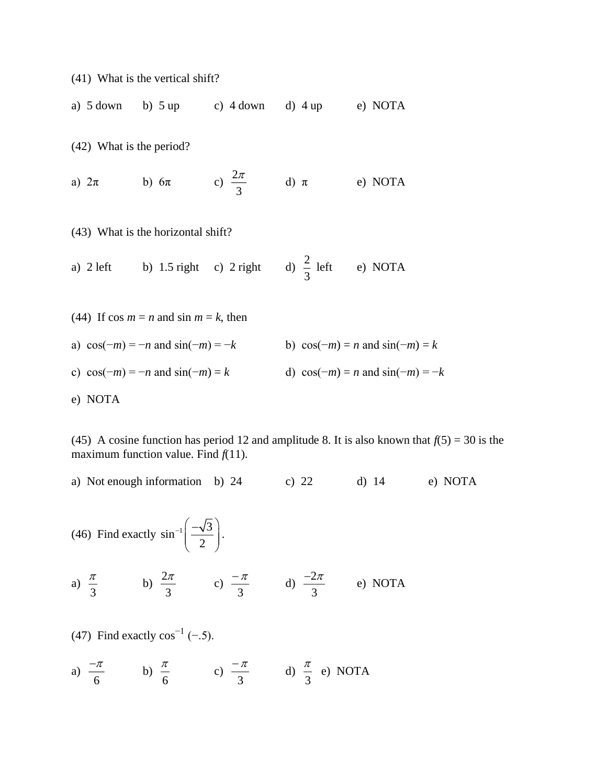(41) What is the vertical shift?

a)  $5$  down b)  $5$  up c)  $4$  down d)  $4$  up e) NOTA

(42) What is the period?

a)  $2\pi$  b)  $6\pi$ 3  $2\pi$ e) NOTA

(43) What is the horizontal shift?

a)  $2 \text{ left}$  b)  $1.5 \text{ right}$  c)  $2 \text{ right}$ 3  $\frac{2}{5}$  left e) NOTA

(44) If 
$$
\cos m = n
$$
 and  $\sin m = k$ , then  
\na)  $\cos(-m) = -n$  and  $\sin(-m) = -k$   
\nb)  $\cos(-m) = n$  and  $\sin(-m) = k$   
\nc)  $\cos(-m) = -n$  and  $\sin(-m) = k$   
\nd)  $\cos(-m) = n$  and  $\sin(-m) = -k$   
\ne) NOTA

(45) A cosine function has period 12 and amplitude 8. It is also known that  $f(5) = 30$  is the maximum function value. Find  $f(11)$ .

a) Not enough information b) 24 c) 22 d) 14 e) NOTA

(46) Find exactly 
$$
\sin^{-1}\left(\frac{-\sqrt{3}}{2}\right)
$$
.

a) 
$$
\frac{\pi}{3}
$$
 b)  $\frac{2\pi}{3}$  c)  $\frac{-\pi}{3}$  d)  $\frac{-2\pi}{3}$  e) NOTA

(47) Find exactly  $cos^{-1}(-.5)$ .

a) 
$$
\frac{-\pi}{6}
$$
 b)  $\frac{\pi}{6}$  c)  $\frac{-\pi}{3}$  d)  $\frac{\pi}{3}$  e) NOTA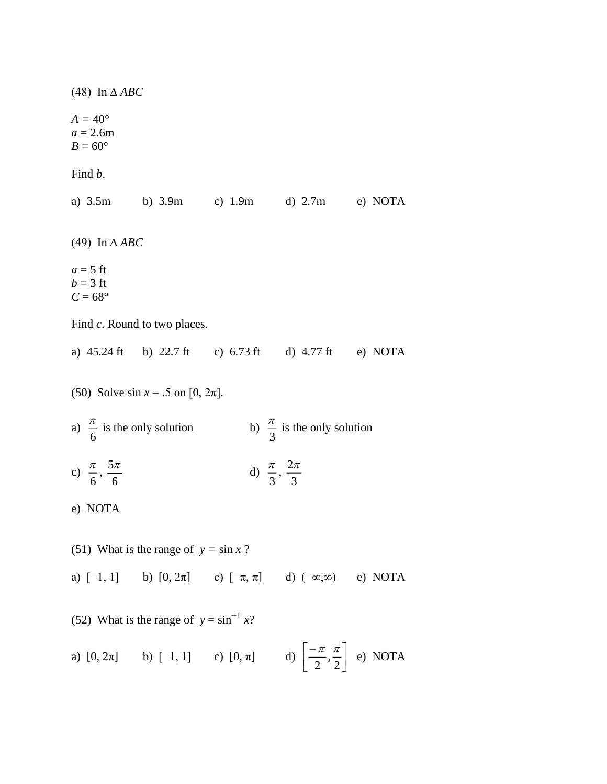(48) In ∆ *ABC*  $A = 40^{\circ}$  $a = 2.6m$  $B=60^{\circ}$ Find *b*. a) 3.5m b) 3.9m c) 1.9m d) 2.7m e) NOTA (49) In ∆ *ABC*  $a = 5$  ft  $b = 3$  ft  $C = 68^\circ$ Find *c*. Round to two places. a) 45.24 ft b) 22.7 ft c) 6.73 ft d) 4.77 ft e) NOTA (50) Solve  $\sin x = .5$  on [0,  $2\pi$ ]. a)  $\frac{\pi}{6}$  $\frac{\pi}{2}$  is the only solution b) 3  $\frac{\pi}{2}$  is the only solution c)  $\frac{\pi}{6}$  $\frac{\pi}{\cdot}$  , 6  $5\pi$ d) 3  $\frac{\pi}{2}$ ,  $\frac{2}{4}$ 3 π e) NOTA (51) What is the range of  $y = \sin x$ ? a)  $[-1, 1]$  b)  $[0, 2\pi]$  c)  $[-\pi, \pi]$  d)  $(-\infty, \infty)$  e) NOTA (52) What is the range of  $y = \sin^{-1} x$ ? a)  $[0, 2\pi]$  b)  $[-1, 1]$  c)  $[0, \pi]$  d) ⅂ L −  $\left\lfloor \frac{\pi}{e}, \frac{\pi}{e} \right\rfloor$  e) NOTA

 $\rfloor$ 

 $2\,$   $^{\degree}$  2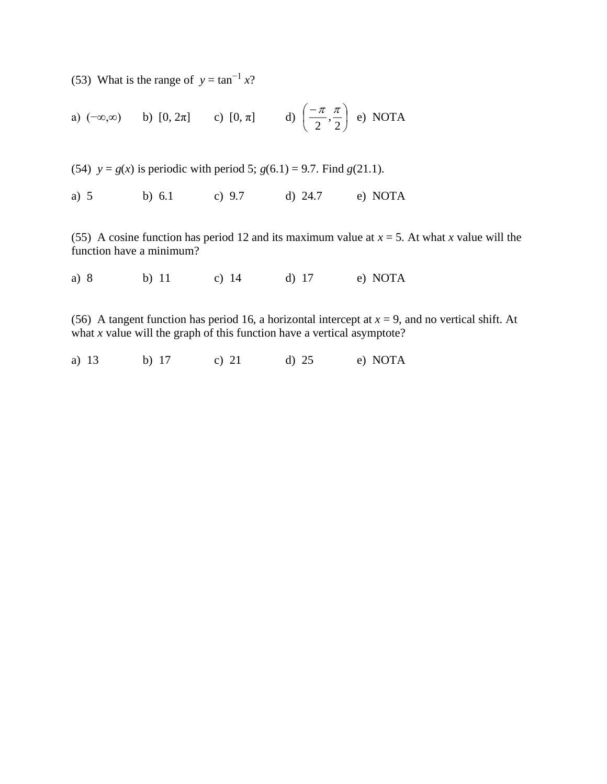(53) What is the range of  $y = \tan^{-1} x$ ?

a) 
$$
(-\infty,\infty)
$$
 b)  $[0,2\pi]$  c)  $[0,\pi]$  d)  $\left(-\frac{\pi}{2},\frac{\pi}{2}\right)$  e) NOTA

(54)  $y = g(x)$  is periodic with period 5;  $g(6.1) = 9.7$ . Find  $g(21.1)$ .

a) 5 b) 6.1 c) 9.7 d) 24.7 e) NOTA

(55) A cosine function has period 12 and its maximum value at  $x = 5$ . At what *x* value will the function have a minimum?

a) 8 b) 11 c) 14 d) 17 e) NOTA

(56) A tangent function has period 16, a horizontal intercept at  $x = 9$ , and no vertical shift. At what *x* value will the graph of this function have a vertical asymptote?

a) 13 b) 17 c) 21 d) 25 e) NOTA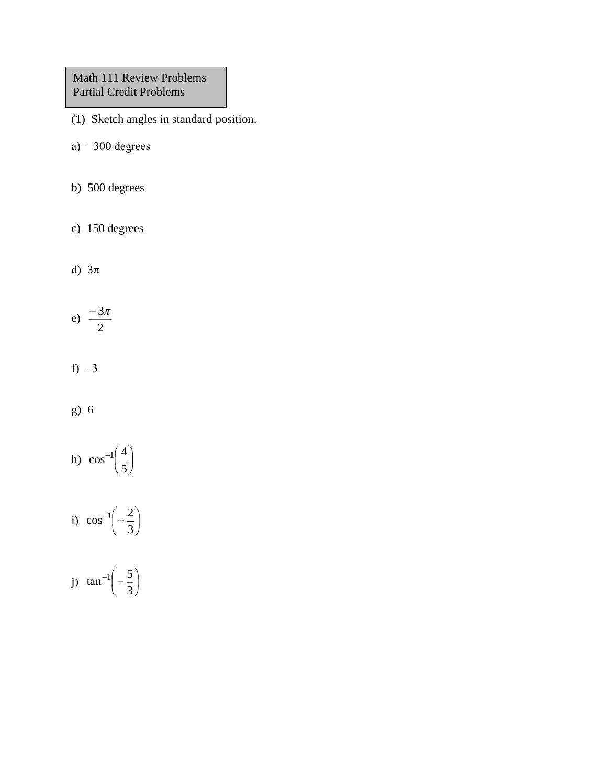Math 111 Review Problems Partial Credit Problems

- (1) Sketch angles in standard position.
- a) −300 degrees
- b) 500 degrees
- c) 150 degrees
- d) 3π

$$
e) \frac{-3\pi}{2}
$$

- f)  $-3$
- g) 6
- h) I J  $\begin{pmatrix} 4 \\ - \end{pmatrix}$  $-1$  $\left(\begin{array}{c}$ 5  $\cos^{-1}\left(\frac{4}{\pi}\right)$
- i) I J  $\left(-\frac{2}{\cdot}\right)$ L  $-1\left(-\frac{2}{3}\right)$  $\cos^{-1}\left(-\frac{2}{\pi}\right)$
- j) I J  $\begin{pmatrix} 5 \\ -5 \end{pmatrix}$ l  $-1\left(-\frac{5}{3}\right)$  $tan^{-1}\left(-\frac{5}{2}\right)$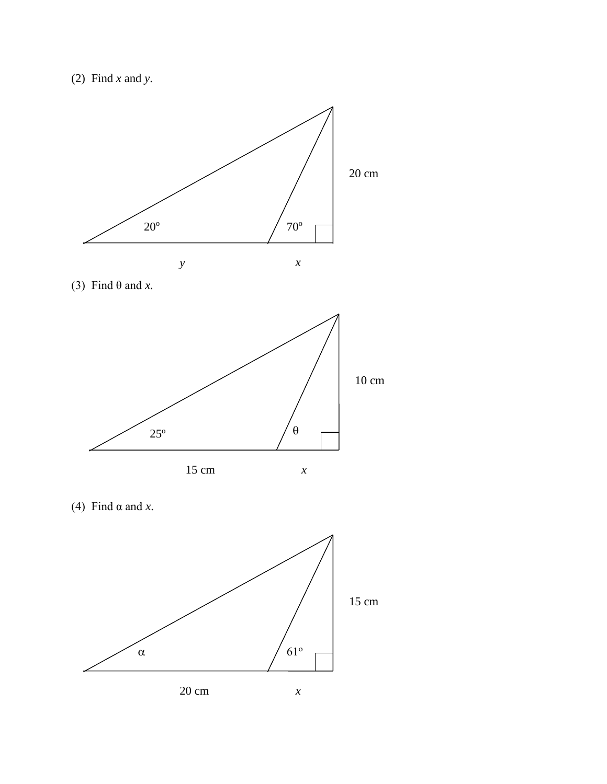







(4) Find  $\alpha$  and *x*.

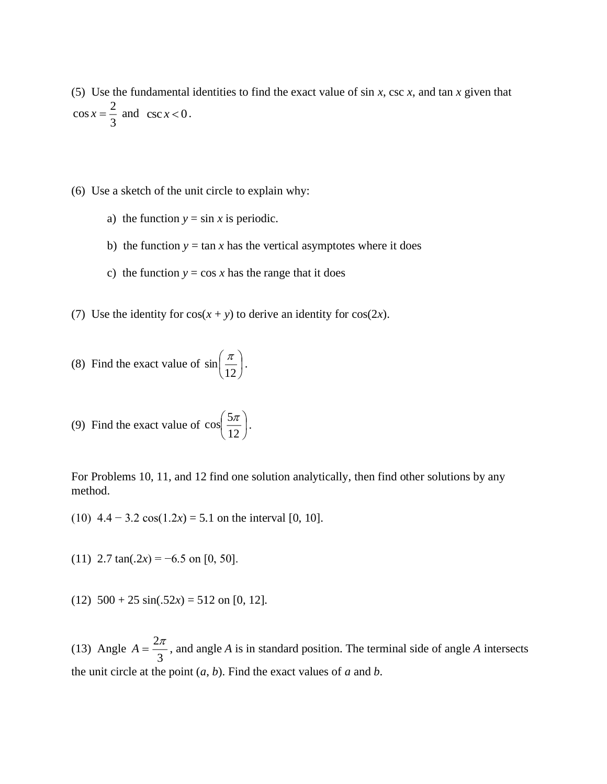(5) Use the fundamental identities to find the exact value of sin *x*, csc *x*, and tan *x* given that 3  $\cos x = \frac{2}{3}$  and  $\csc x < 0$ .

(6) Use a sketch of the unit circle to explain why:

- a) the function  $y = \sin x$  is periodic.
- b) the function  $y = \tan x$  has the vertical asymptotes where it does
- c) the function  $y = \cos x$  has the range that it does
- (7) Use the identity for  $cos(x + y)$  to derive an identity for  $cos(2x)$ .

(8) Find the exact value of 
$$
\sin\left(\frac{\pi}{12}\right)
$$
.

(9) Find the exact value of 
$$
\cos\left(\frac{5\pi}{12}\right)
$$
.

For Problems 10, 11, and 12 find one solution analytically, then find other solutions by any method.

(10)  $4.4 - 3.2 \cos(1.2x) = 5.1$  on the interval [0, 10].

(11)  $2.7 \tan(.2x) = -6.5 \text{ on } [0, 50].$ 

(12)  $500 + 25 \sin(.52x) = 512$  on [0, 12].

(13) Angle  $A = \frac{2\pi}{3}$  $A = \frac{2\pi}{\epsilon}$ , and angle *A* is in standard position. The terminal side of angle *A* intersects the unit circle at the point (*a*, *b*). Find the exact values of *a* and *b*.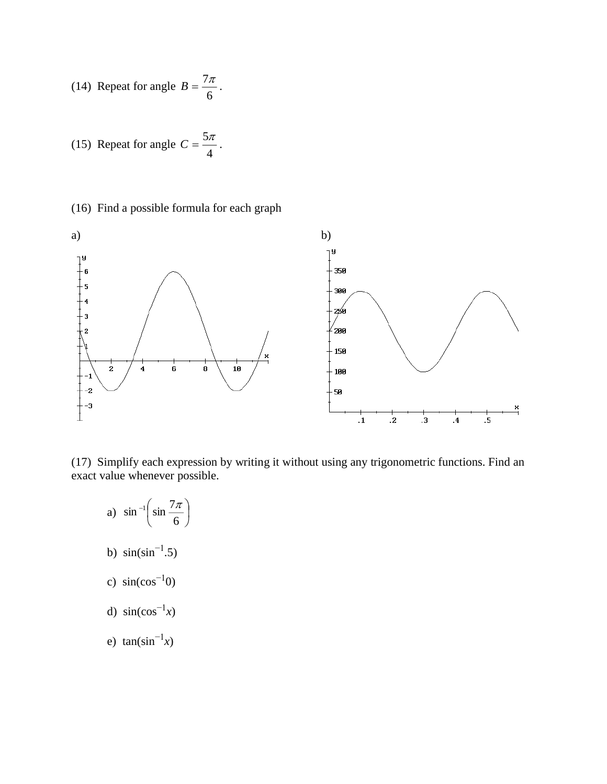(14) Repeat for angle 
$$
B = \frac{7\pi}{6}
$$
.

(15) Repeat for angle 
$$
C = \frac{5\pi}{4}
$$
.

(16) Find a possible formula for each graph



(17) Simplify each expression by writing it without using any trigonometric functions. Find an exact value whenever possible.

- a) I J  $\left(\sin \frac{7\pi}{2}\right)$  $-1$  $\left($ 6  $\sin^{-1}\left(\sin\frac{7\pi}{2}\right)$ b)  $sin(sin^{-1}.5)$
- c)  $sin(cos<sup>-1</sup>0)$
- d)  $sin(cos^{-1}x)$
- e)  $tan(sin^{-1}x)$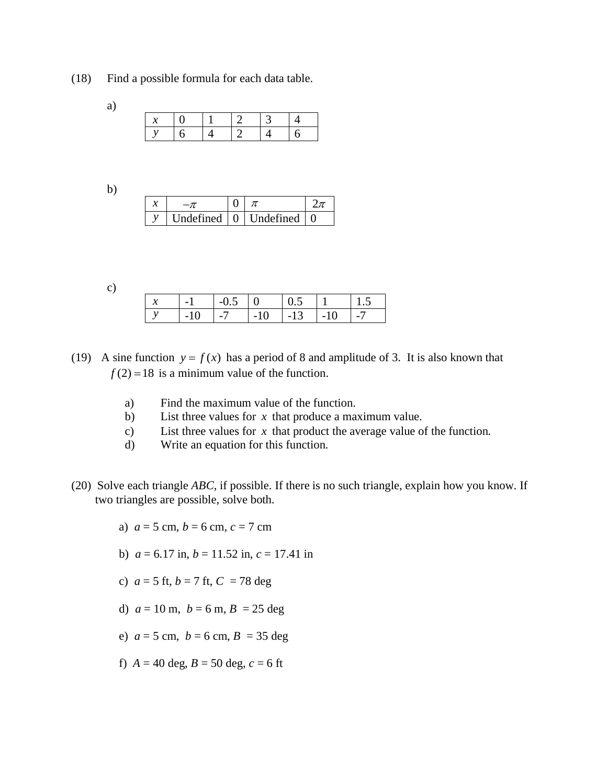(18) Find a possible formula for each data table.

| a |  |            |                |  |
|---|--|------------|----------------|--|
|   |  | $\Box$ 1.1 | $\overline{2}$ |  |
|   |  |            |                |  |

b)

|  | Tndefined L | $0$ Undefined |  |
|--|-------------|---------------|--|

c)

| - - | $\overline{\phantom{0}}$ | ᅴ<br>. .                  |       |               |        |  |
|-----|--------------------------|---------------------------|-------|---------------|--------|--|
|     | $\overline{\phantom{0}}$ | $\mathbf{1}$ $\mathbf{1}$ | $-10$ | $\sqrt{1-13}$ | $-1()$ |  |

- (19) A sine function  $y = f(x)$  has a period of 8 and amplitude of 3. It is also known that  $f(2) = 18$  is a minimum value of the function.
	- a) Find the maximum value of the function.
	- b) List three values for  $x$  that produce a maximum value.
	- c) List three values for  $x$  that product the average value of the function.
	- d) Write an equation for this function.
- (20) Solve each triangle *ABC*, if possible. If there is no such triangle, explain how you know. If two triangles are possible, solve both.
	- a)  $a = 5$  cm,  $b = 6$  cm,  $c = 7$  cm
	- b)  $a = 6.17$  in,  $b = 11.52$  in,  $c = 17.41$  in
	- c)  $a = 5$  ft,  $b = 7$  ft,  $C = 78$  deg
	- d)  $a = 10$  m,  $b = 6$  m,  $B = 25$  deg
	- e)  $a = 5$  cm,  $b = 6$  cm,  $B = 35$  deg
	- f)  $A = 40 \text{ deg}, B = 50 \text{ deg}, c = 6 \text{ ft}$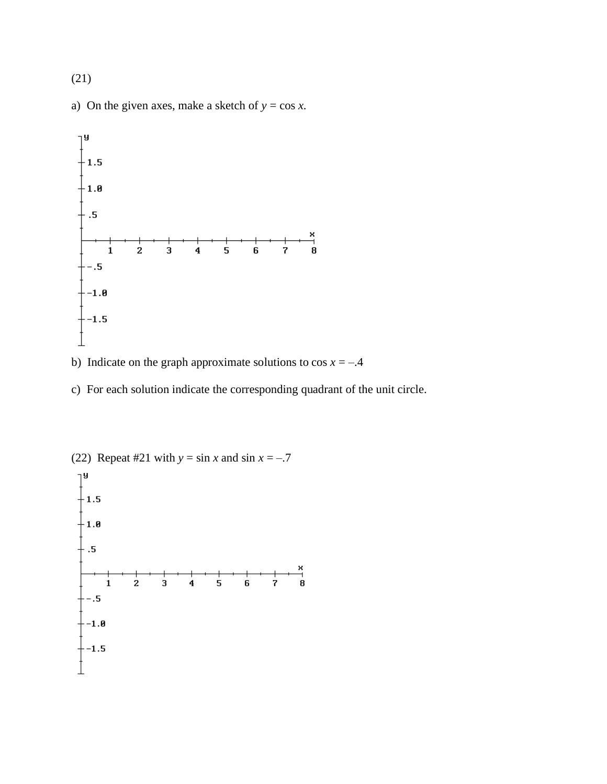(21)

a) On the given axes, make a sketch of  $y = \cos x$ .



- b) Indicate on the graph approximate solutions to  $\cos x = -0.4$
- c) For each solution indicate the corresponding quadrant of the unit circle.